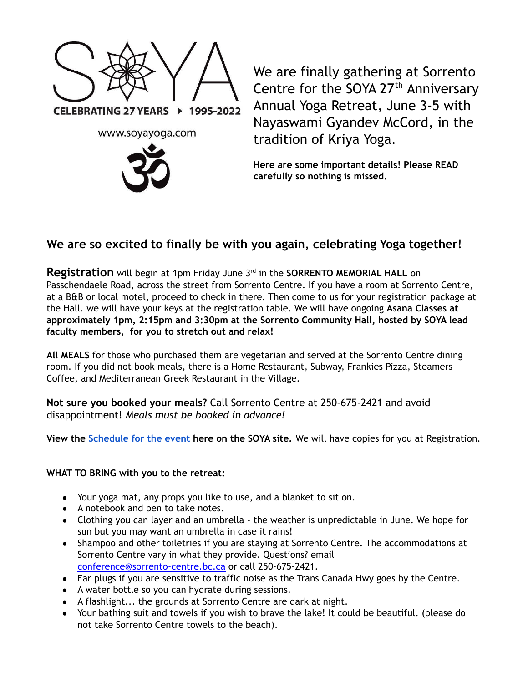

We are finally gathering at Sorrento Centre for the SOYA 27<sup>th</sup> Anniversary Annual Yoga Retreat, June 3-5 with Nayaswami Gyandev McCord, in the tradition of Kriya Yoga.

**Here are some important details! Please READ carefully so nothing is missed.**

## **We are so excited to finally be with you again, celebrating Yoga together!**

Registration will begin at 1pm Friday June 3<sup>rd</sup> in the SORRENTO MEMORIAL HALL on Passchendaele Road, across the street from Sorrento Centre. If you have a room at Sorrento Centre, at a B&B or local motel, proceed to check in there. Then come to us for your registration package at the Hall. we will have your keys at the registration table. We will have ongoing **Asana Classes at approximately 1pm, 2:15pm and 3:30pm at the Sorrento Community Hall, hosted by SOYA lead faculty members, for you to stretch out and relax!**

**All MEALS** for those who purchased them are vegetarian and served at the Sorrento Centre dining room. If you did not book meals, there is a Home Restaurant, Subway, Frankies Pizza, Steamers Coffee, and Mediterranean Greek Restaurant in the Village.

**Not sure you booked your meals?** Call Sorrento Centre at 250-675-2421 and avoid disappointment! *Meals must be booked in advance!*

**View the [Schedule](https://www.soyayoga.com/wp-content/uploads/2022/05/Schedule-Gyandev-v5.pdf) for the event here on the SOYA site.** We will have copies for you at Registration.

## **WHAT TO BRING with you to the retreat:**

- Your yoga mat, any props you like to use, and a blanket to sit on.
- A notebook and pen to take notes.
- Clothing you can layer and an umbrella the weather is unpredictable in June. We hope for sun but you may want an umbrella in case it rains!
- Shampoo and other toiletries if you are staying at Sorrento Centre. The accommodations at Sorrento Centre vary in what they provide. Questions? email [conference@sorrento-centre.bc.ca](mailto:conference@sorrento-centre.bc.ca) or call 250-675-2421.
- Ear plugs if you are sensitive to traffic noise as the Trans Canada Hwy goes by the Centre.
- A water bottle so you can hydrate during sessions.
- A flashlight... the grounds at Sorrento Centre are dark at night.
- Your bathing suit and towels if you wish to brave the lake! It could be beautiful. (please do not take Sorrento Centre towels to the beach).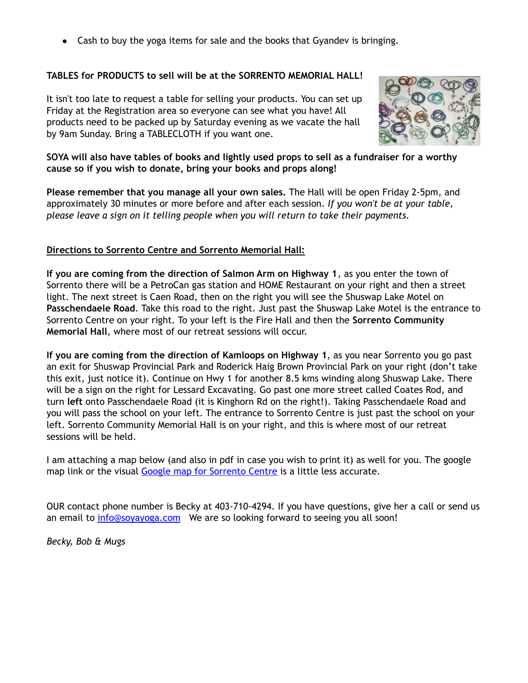• Cash to buy the yoga items for sale and the books that Gyandev is bringing.

## **TABLES for PRODUCTS to sell will be at the SORRENTO MEMORIAL HALL!**

It isn't too late to request a table for selling your products. You can set up Friday at the Registration area so everyone can see what you have! All products need to be packed up by Saturday evening as we vacate the hall by 9am Sunday. Bring a TABLECLOTH if you want one.



SOYA will also have tables of books and lightly used props to sell as a fundraiser for a worthy **cause so if you wish to donate, bring your books and props along!**

**Please remember that you manage all your own sales.** The Hall will be open Friday 2-5pm, and approximately 30 minutes or more before and after each session. *If you won't be at your table, please leave a sign on it telling people when you will return to take their payments.*

## **Directions to Sorrento Centre and Sorrento Memorial Hall:**

**If you are coming from the direction of Salmon Arm on Highway 1**, as you enter the town of Sorrento there will be a PetroCan gas station and HOME Restaurant on your right and then a street light. The next street is Caen Road, then on the right you will see the Shuswap Lake Motel on **Passchendaele Road**. Take this road to the right. Just past the Shuswap Lake Motel is the entrance to Sorrento Centre on your right. To your left is the Fire Hall and then the **Sorrento Community Memorial Hall**, where most of our retreat sessions will occur.

**If you are coming from the direction of Kamloops on Highway 1**, as you near Sorrento you go past an exit for Shuswap Provincial Park and Roderick Haig Brown Provincial Park on your right (don't take this exit, just notice it). Continue on Hwy 1 for another 8.5 kms winding along Shuswap Lake. There will be a sign on the right for Lessard Excavating. Go past one more street called Coates Rod, and turn **left** onto Passchendaele Road (it is Kinghorn Rd on the right!). Taking Passchendaele Road and you will pass the school on your left. The entrance to Sorrento Centre is just past the school on your left. Sorrento Community Memorial Hall is on your right, and this is where most of our retreat sessions will be held.

I am attaching a map below (and also in pdf in case you wish to print it) as well for you. The google map link or the visual Google map for [Sorrento](https://www.google.ca/maps/place/Sorrento+Centre/@50.87961,-119.473121,15z/data=!4m2!3m1!1s0x0:0xce540cd6c9087337) Centre is a little less accurate.

OUR contact phone number is Becky at 403-710-4294. If you have questions, give her a call or send us an email to [info@soyayoga.com](mailto:info@soyayoga.com) We are so looking forward to seeing you all soon!

*Becky, Bob & Mugs*